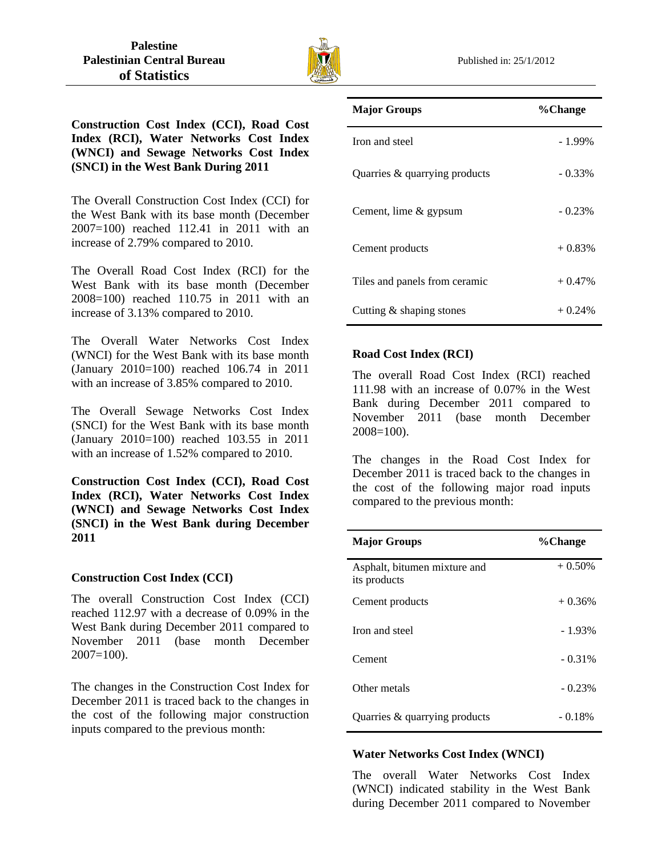

**Construction Cost Index (CCI), Road Cost Index (RCI), Water Networks Cost Index (WNCI) and Sewage Networks Cost Index (SNCI) in the West Bank During 2011** 

The Overall Construction Cost Index (CCI) for the West Bank with its base month (December 2007=100) reached 112.41 in 2011 with an increase of 2.79% compared to 2010.

The Overall Road Cost Index (RCI) for the West Bank with its base month (December 2008=100) reached 110.75 in 2011 with an increase of 3.13% compared to 2010.

The Overall Water Networks Cost Index (WNCI) for the West Bank with its base month (January 2010=100) reached 106.74 in 2011 with an increase of 3.85% compared to 2010.

The Overall Sewage Networks Cost Index (SNCI) for the West Bank with its base month (January 2010=100) reached 103.55 in 2011 with an increase of 1.52% compared to 2010.

**Construction Cost Index (CCI), Road Cost Index (RCI), Water Networks Cost Index (WNCI) and Sewage Networks Cost Index (SNCI) in the West Bank during December 2011** 

### **Construction Cost Index (CCI)**

The overall Construction Cost Index (CCI) reached 112.97 with a decrease of 0.09% in the West Bank during December 2011 compared to November 2011 (base month December 2007=100).

The changes in the Construction Cost Index for December 2011 is traced back to the changes in the cost of the following major construction inputs compared to the previous month:

| <b>Major Groups</b>           | %Change   |
|-------------------------------|-----------|
| Iron and steel                | $-1.99\%$ |
| Quarries & quarrying products | $-0.33\%$ |
| Cement, lime & gypsum         | $-0.23%$  |
| Cement products               | $+0.83%$  |
| Tiles and panels from ceramic | $+0.47%$  |
| Cutting $\&$ shaping stones   | $+0.24%$  |

# **Road Cost Index (RCI)**

The overall Road Cost Index (RCI) reached 111.98 with an increase of 0.07% in the West Bank during December 2011 compared to November 2011 (base month December 2008=100).

The changes in the Road Cost Index for December 2011 is traced back to the changes in the cost of the following major road inputs compared to the previous month:

| <b>Major Groups</b>                          | %Change   |
|----------------------------------------------|-----------|
| Asphalt, bitumen mixture and<br>its products | $+0.50\%$ |
| Cement products                              | $+0.36%$  |
| Iron and steel                               | $-1.93%$  |
| Cement                                       | $-0.31\%$ |
| Other metals                                 | $-0.23%$  |
| Quarries & quarrying products                | $-0.18%$  |

# **Water Networks Cost Index (WNCI)**

The overall Water Networks Cost Index (WNCI) indicated stability in the West Bank during December 2011 compared to November